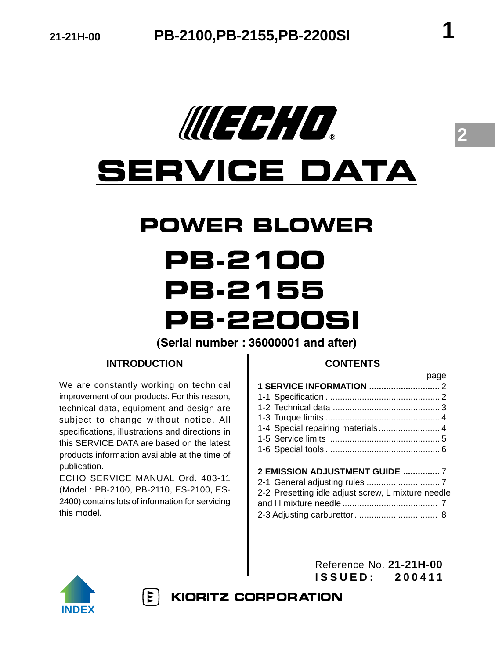

# **SERVICE DATA**

### **POWER BLOWER**

## PB.2100 **PB.2155 PB-2200SI**

(Serial number: 36000001 and after)

#### **INTRODUCTION**

We are constantly working on technical improvement of our products. For this reason, technical data, equipment and design are subject to change without notice. All specifications, illustrations and directions in this SERVICE DATA are based on the latest products information available at the time of publication.

ECHO SERVICE MANUAL Ord. 403-11 (Model : PB-2100, PB-2110, ES-2100, ES-2400) contains lots of information for servicing this model.

 $|\mathbf{E}|$ 

#### **CONTENTS**

| <b>Example 19</b> Days                            |  |
|---------------------------------------------------|--|
|                                                   |  |
|                                                   |  |
|                                                   |  |
|                                                   |  |
|                                                   |  |
|                                                   |  |
|                                                   |  |
|                                                   |  |
| <b>2 EMISSION ADJUSTMENT GUIDE  7</b>             |  |
|                                                   |  |
| 2-2 Presetting idle adjust screw 1 mixture needle |  |

| 2-2 Presetting idle adjust screw, L mixture needle |  |
|----------------------------------------------------|--|
|                                                    |  |
|                                                    |  |



Reference No. **21-21H-00 ISSUED: 200411**

**KIORITZ CORPORATION** 

**2**

page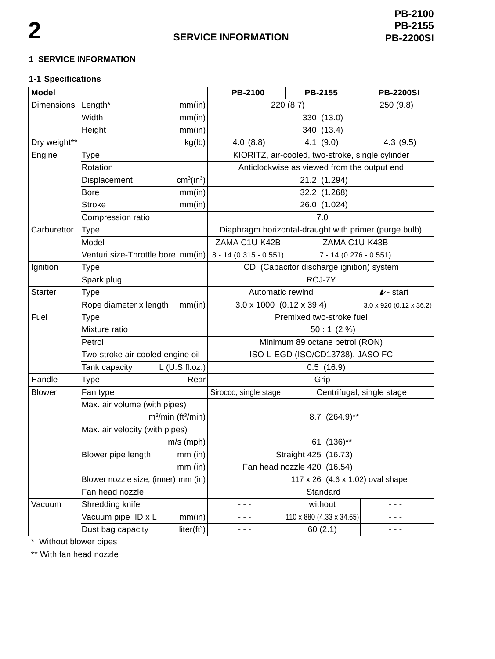#### **1 SERVICE INFORMATION**

#### **1-1 Specifications**

| <b>Model</b>       |                                            |                                    | PB-2100                                               | PB-2155                  | <b>PB-2200SI</b>               |
|--------------------|--------------------------------------------|------------------------------------|-------------------------------------------------------|--------------------------|--------------------------------|
| Dimensions Length* |                                            | mm(in)                             | 220 (8.7)<br>250 (9.8)                                |                          |                                |
|                    | Width                                      | mm(in)                             | 330 (13.0)                                            |                          |                                |
|                    | Height<br>mm(in)                           |                                    | 340 (13.4)                                            |                          |                                |
| Dry weight**       |                                            | kg(lb)                             | 4.0(8.8)                                              | $4.1$ (9.0)              | 4.3(9.5)                       |
| Engine             | <b>Type</b>                                |                                    | KIORITZ, air-cooled, two-stroke, single cylinder      |                          |                                |
|                    | Rotation                                   |                                    | Anticlockwise as viewed from the output end           |                          |                                |
|                    | Displacement                               | cm <sup>3</sup> (in <sup>3</sup> ) | 21.2 (1.294)                                          |                          |                                |
|                    | <b>Bore</b>                                | mm(in)                             | 32.2 (1.268)                                          |                          |                                |
|                    | <b>Stroke</b>                              | mm(in)                             | 26.0 (1.024)                                          |                          |                                |
|                    | Compression ratio                          |                                    | 7.0                                                   |                          |                                |
| Carburettor        | <b>Type</b>                                |                                    | Diaphragm horizontal-draught with primer (purge bulb) |                          |                                |
|                    | Model                                      |                                    | ZAMA C1U-K42B                                         | ZAMA C1U-K43B            |                                |
|                    | Venturi size-Throttle bore mm(in)          |                                    | $8 - 14 (0.315 - 0.551)$                              | $7 - 14 (0.276 - 0.551)$ |                                |
| Ignition           | <b>Type</b>                                |                                    | CDI (Capacitor discharge ignition) system             |                          |                                |
|                    | Spark plug                                 |                                    | RCJ-7Y                                                |                          |                                |
| <b>Starter</b>     | <b>Type</b>                                |                                    | Automatic rewind<br>$\dot{\mathcal{L}}$ - start       |                          |                                |
|                    | Rope diameter x length<br>mm(in)           |                                    | $3.0 \times 1000$ (0.12 x 39.4)                       |                          | $3.0 \times 920$ (0.12 x 36.2) |
| Fuel               | <b>Type</b>                                |                                    | Premixed two-stroke fuel                              |                          |                                |
|                    | Mixture ratio                              |                                    | 50:1(2%)                                              |                          |                                |
|                    | Petrol<br>Two-stroke air cooled engine oil |                                    | Minimum 89 octane petrol (RON)                        |                          |                                |
|                    |                                            |                                    | ISO-L-EGD (ISO/CD13738), JASO FC                      |                          |                                |
|                    | Tank capacity                              | $L$ (U.S.fl.oz.)                   | 0.5(16.9)                                             |                          |                                |
| Handle             | <b>Type</b>                                | Rear                               |                                                       | Grip                     |                                |
| <b>Blower</b>      | Fan type                                   |                                    | Sirocco, single stage                                 |                          | Centrifugal, single stage      |
|                    | Max. air volume (with pipes)               |                                    |                                                       |                          |                                |
|                    | $m3/min$ (ft <sup>3</sup> /min)            |                                    | 8.7 (264.9)**                                         |                          |                                |
|                    | Max. air velocity (with pipes)             |                                    |                                                       |                          |                                |
|                    | $m/s$ (mph)                                |                                    | 61 (136)**                                            |                          |                                |
|                    | Blower pipe length                         | $mm$ (in)                          |                                                       | Straight 425 (16.73)     |                                |
|                    | $mm$ (in)                                  |                                    | Fan head nozzle 420 (16.54)                           |                          |                                |
|                    | Blower nozzle size, (inner) mm (in)        |                                    | 117 x 26 (4.6 x 1.02) oval shape                      |                          |                                |
|                    | Fan head nozzle                            |                                    | Standard                                              |                          |                                |
| Vacuum             | Shredding knife                            |                                    | - - -                                                 | without                  | - - -                          |
|                    | Vacuum pipe ID x L                         | mm(in)                             | - - -                                                 | 110 x 880 (4.33 x 34.65) | - - -                          |
|                    | Dust bag capacity                          | liter $(ft^3)$                     | - - -                                                 | 60(2.1)                  | - - -                          |

\* Without blower pipes

\*\* With fan head nozzle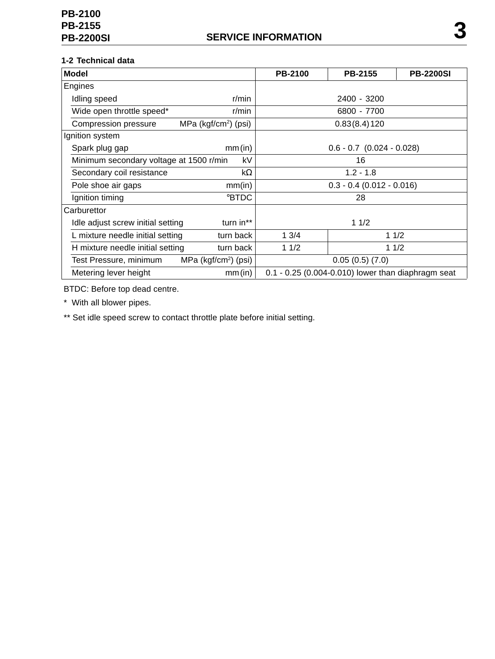#### **1-2 Technical data**

| <b>Model</b>                            |                         | <b>PB-2100</b> | PB-2155                                            | <b>PB-2200SI</b> |
|-----------------------------------------|-------------------------|----------------|----------------------------------------------------|------------------|
| Engines                                 |                         |                |                                                    |                  |
| Idling speed                            | r/min                   |                | 2400 - 3200                                        |                  |
| Wide open throttle speed*               | $r/m$ in                |                | 6800 - 7700                                        |                  |
| Compression pressure                    | MPa ( $kgf/cm2$ ) (psi) |                | 0.83(8.4)120                                       |                  |
| Ignition system                         |                         |                |                                                    |                  |
| Spark plug gap                          | mm(in)                  |                | $0.6 - 0.7$ $(0.024 - 0.028)$                      |                  |
| Minimum secondary voltage at 1500 r/min | kV                      | 16             |                                                    |                  |
| Secondary coil resistance               | $k\Omega$               |                | $1.2 - 1.8$                                        |                  |
| Pole shoe air gaps                      | mm(in)                  |                | $0.3 - 0.4$ (0.012 - 0.016)                        |                  |
| Ignition timing                         | °BTDC                   |                | 28                                                 |                  |
| Carburettor                             |                         |                |                                                    |                  |
| Idle adjust screw initial setting       | turn in**               |                | 11/2                                               |                  |
| L mixture needle initial setting        | turn back               | 13/4           | 11/2                                               |                  |
| H mixture needle initial setting        | turn back               | 11/2           | 11/2                                               |                  |
| Test Pressure, minimum                  | MPa ( $kgf/cm2$ ) (psi) |                | 0.05(0.5)(7.0)                                     |                  |
| Metering lever height                   | mm(in)                  |                | 0.1 - 0.25 (0.004-0.010) lower than diaphragm seat |                  |

BTDC: Before top dead centre.

\* With all blower pipes.

\*\* Set idle speed screw to contact throttle plate before initial setting.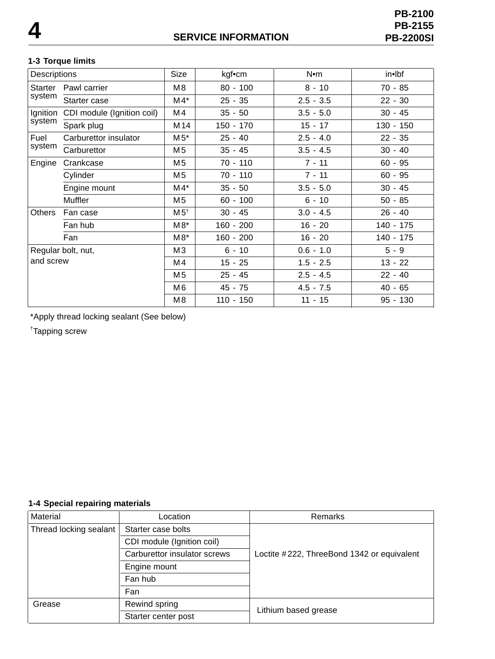#### **1-3 Torque limits**

| Descriptions       |                            | Size            | kgf•cm      | N•m         | in•lbf    |
|--------------------|----------------------------|-----------------|-------------|-------------|-----------|
| Starter            | Pawl carrier               | M8              | $80 - 100$  | $8 - 10$    | 70 - 85   |
| system             | Starter case               | $M4*$           | $25 - 35$   | $2.5 - 3.5$ | $22 - 30$ |
| Ignition           | CDI module (Ignition coil) | M4              | $35 - 50$   | $3.5 - 5.0$ | $30 - 45$ |
| system             | Spark plug                 | M <sub>14</sub> | $150 - 170$ | $15 - 17$   | 130 - 150 |
| Fuel               | Carburettor insulator      | $M5^*$          | $25 - 40$   | $2.5 - 4.0$ | $22 - 35$ |
| system             | Carburettor                | M <sub>5</sub>  | $35 - 45$   | $3.5 - 4.5$ | $30 - 40$ |
| Engine             | Crankcase                  | M <sub>5</sub>  | $70 - 110$  | $7 - 11$    | $60 - 95$ |
|                    | Cylinder                   | M <sub>5</sub>  | 70 - 110    | $7 - 11$    | $60 - 95$ |
|                    | Engine mount               | $M4*$           | $35 - 50$   | $3.5 - 5.0$ | $30 - 45$ |
|                    | <b>Muffler</b>             | M5              | $60 - 100$  | $6 - 10$    | $50 - 85$ |
| Others             | Fan case                   | M5 <sup>†</sup> | $30 - 45$   | $3.0 - 4.5$ | $26 - 40$ |
|                    | Fan hub                    | $M8*$           | $160 - 200$ | $16 - 20$   | 140 - 175 |
|                    | Fan                        | $M8*$           | $160 - 200$ | $16 - 20$   | 140 - 175 |
| Regular bolt, nut, |                            | MЗ              | $6 - 10$    | $0.6 - 1.0$ | $5 - 9$   |
| and screw          |                            | M4              | $15 - 25$   | $1.5 - 2.5$ | $13 - 22$ |
|                    |                            | M <sub>5</sub>  | $25 - 45$   | $2.5 - 4.5$ | $22 - 40$ |
|                    |                            | M6              | $45 - 75$   | $4.5 - 7.5$ | $40 - 65$ |
|                    |                            | M8              | $110 - 150$ | $11 - 15$   | 95 - 130  |
|                    |                            |                 |             |             |           |

\*Apply thread locking sealant (See below)

† Tapping screw

#### **1-4 Special repairing materials**

| Material                     | Location           | <b>Remarks</b>                             |  |
|------------------------------|--------------------|--------------------------------------------|--|
| Thread locking sealant       | Starter case bolts |                                            |  |
| CDI module (Ignition coil)   |                    |                                            |  |
| Carburettor insulator screws |                    | Loctite #222, ThreeBond 1342 or equivalent |  |
|                              | Engine mount       |                                            |  |
| Fan hub                      |                    |                                            |  |
| Fan                          |                    |                                            |  |
| Grease                       | Rewind spring      | Lithium based grease                       |  |
| Starter center post          |                    |                                            |  |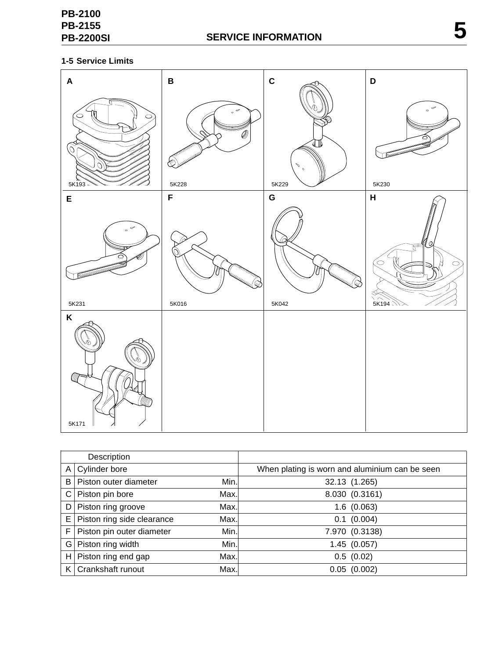#### **1-5 Service Limits**



|       | Description                |      |                                                |
|-------|----------------------------|------|------------------------------------------------|
| A     | Cylinder bore              |      | When plating is worn and aluminium can be seen |
| B     | Piston outer diameter      | Min. | 32.13 (1.265)                                  |
| C     | Piston pin bore            | Max. | 8.030 (0.3161)                                 |
| D     | Piston ring groove         | Max. | 1.6(0.063)                                     |
| Е     | Piston ring side clearance | Max. | $0.1$ (0.004)                                  |
| F     | Piston pin outer diameter  | Min. | 7.970 (0.3138)                                 |
| $G^+$ | Piston ring width          | Min. | 1.45(0.057)                                    |
| H     | Piston ring end gap        | Max. | 0.5(0.02)                                      |
| K.    | Crankshaft runout          | Max. | 0.05(0.002)                                    |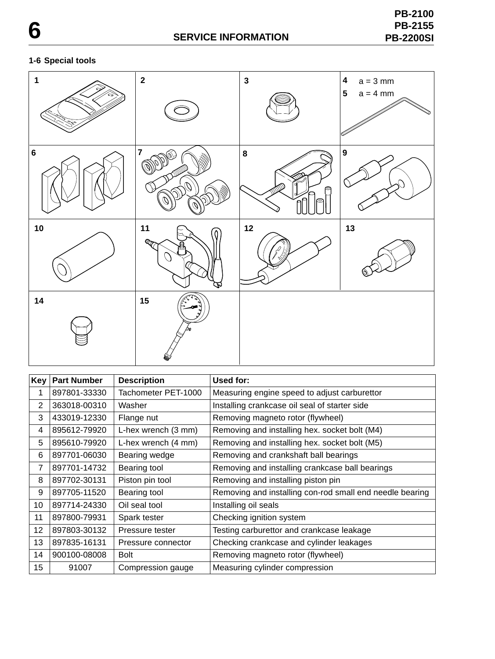#### **1-6 Special tools**



| Key <sup>1</sup> | <b>Part Number</b> | <b>Description</b>  | Used for:                                                |
|------------------|--------------------|---------------------|----------------------------------------------------------|
| 1                | 897801-33330       | Tachometer PET-1000 | Measuring engine speed to adjust carburettor             |
| 2                | 363018-00310       | Washer              | Installing crankcase oil seal of starter side            |
| 3                | 433019-12330       | Flange nut          | Removing magneto rotor (flywheel)                        |
| 4                | 895612-79920       | L-hex wrench (3 mm) | Removing and installing hex. socket bolt (M4)            |
| 5                | 895610-79920       | L-hex wrench (4 mm) | Removing and installing hex. socket bolt (M5)            |
| 6                | 897701-06030       | Bearing wedge       | Removing and crankshaft ball bearings                    |
| 7                | 897701-14732       | Bearing tool        | Removing and installing crankcase ball bearings          |
| 8                | 897702-30131       | Piston pin tool     | Removing and installing piston pin                       |
| 9                | 897705-11520       | Bearing tool        | Removing and installing con-rod small end needle bearing |
| 10               | 897714-24330       | Oil seal tool       | Installing oil seals                                     |
| 11               | 897800-79931       | Spark tester        | Checking ignition system                                 |
| 12               | 897803-30132       | Pressure tester     | Testing carburettor and crankcase leakage                |
| 13               | 897835-16131       | Pressure connector  | Checking crankcase and cylinder leakages                 |
| 14               | 900100-08008       | <b>Bolt</b>         | Removing magneto rotor (flywheel)                        |
| 15               | 91007              | Compression gauge   | Measuring cylinder compression                           |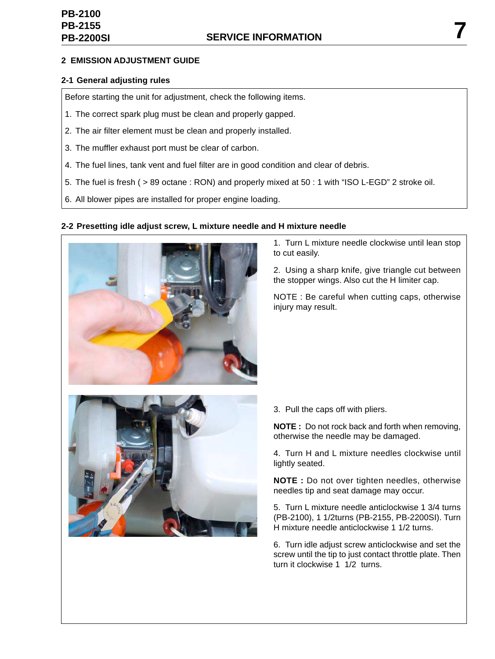#### **2 EMISSION ADJUSTMENT GUIDE**

#### **2-1 General adjusting rules**

Before starting the unit for adjustment, check the following items.

- 1. The correct spark plug must be clean and properly gapped.
- 2. The air filter element must be clean and properly installed.
- 3. The muffler exhaust port must be clear of carbon.
- 4. The fuel lines, tank vent and fuel filter are in good condition and clear of debris.
- 5. The fuel is fresh ( > 89 octane : RON) and properly mixed at 50 : 1 with "ISO L-EGD" 2 stroke oil.
- 6. All blower pipes are installed for proper engine loading.

#### **2-2 Presetting idle adjust screw, L mixture needle and H mixture needle**



1. Turn L mixture needle clockwise until lean stop to cut easily.

2. Using a sharp knife, give triangle cut between the stopper wings. Also cut the H limiter cap.

NOTE : Be careful when cutting caps, otherwise injury may result.



3. Pull the caps off with pliers.

**NOTE :** Do not rock back and forth when removing, otherwise the needle may be damaged.

4. Turn H and L mixture needles clockwise until lightly seated.

**NOTE :** Do not over tighten needles, otherwise needles tip and seat damage may occur.

5. Turn L mixture needle anticlockwise 1 3/4 turns (PB-2100), 1 1/2turns (PB-2155, PB-2200SI). Turn H mixture needle anticlockwise 1 1/2 turns.

6. Turn idle adjust screw anticlockwise and set the screw until the tip to just contact throttle plate. Then turn it clockwise 1 1/2 turns.